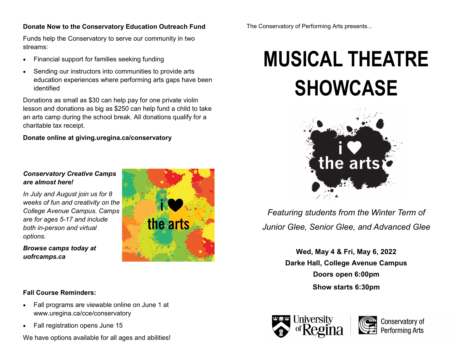## **Donate Now to the Conservatory Education Outreach Fund**

Funds help the Conservatory to serve our community in two streams:

- Financial support for families seeking funding
- Sending our instructors into communities to provide arts education experiences where performing arts gaps have been identified

Donations as small as \$30 can help pay for one private violin lesson and donations as big as \$250 can help fund a child to take an arts camp during the school break. All donations qualify for a charitable tax receipt.

**Donate online at giving.uregina.ca/conservatory**

# *Conservatory Creative Camps are almost here!*

*In July and August join us for 8 weeks of fun and creativity on the College Avenue Campus. Camps are for ages 5-17 and include both in-person and virtual options.*

*Browse camps today at uofrcamps.ca*



## **Fall Course Reminders:**

- Fall programs are viewable online on June 1 at www.uregina.ca/cce/conservatory
- Fall registration opens June 15

We have options available for all ages and abilities!

The Conservatory of Performing Arts presents...

# **MUSICAL THEATRE SHOWCASE**



*Featuring students from the Winter Term of Junior Glee, Senior Glee, and Advanced Glee*

> **Wed, May 4 & Fri, May 6, 2022 Darke Hall, College Avenue Campus Doors open 6:00pm Show starts 6:30pm**